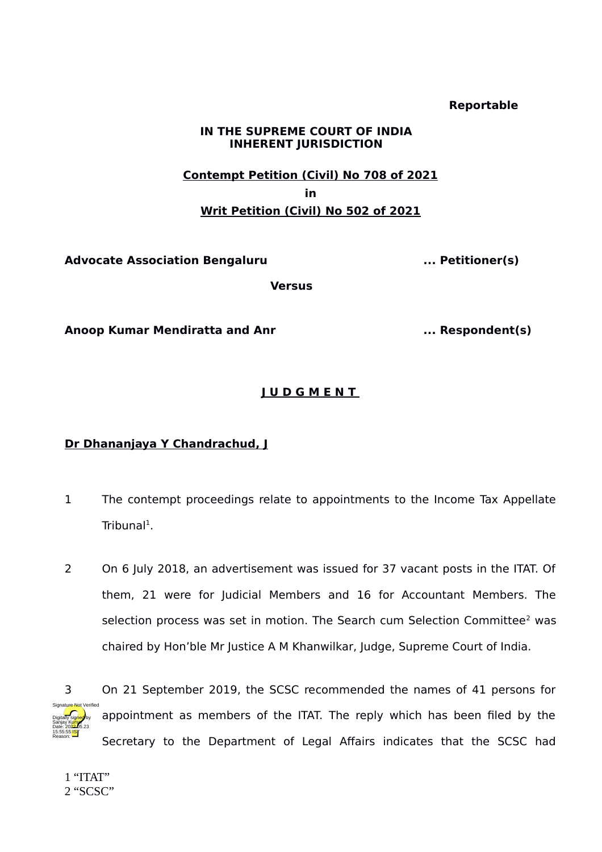### **Reportable**

## **IN THE SUPREME COURT OF INDIA INHERENT JURISDICTION**

# **Contempt Petition (Civil) No 708 of 2021 in Writ Petition (Civil) No 502 of 2021**

**Advocate Association Bengaluru ... Petitioner(s)** 

**Versus**

**Anoop Kumar Mendiratta and Anr ... Respondent(s)**

# **J U D G M E N T**

# **Dr Dhananjaya Y Chandrachud, J**

- 1 The contempt proceedings relate to appointments to the Income Tax Appellate  $Tribunal<sup>1</sup>$  $Tribunal<sup>1</sup>$  $Tribunal<sup>1</sup>$ .
- 2 On 6 July 2018, an advertisement was issued for 37 vacant posts in the ITAT. Of them, 21 were for Judicial Members and 16 for Accountant Members. The selection process was set in motion. The Search cum Selection Committee<sup>[2](#page-0-1)</sup> was chaired by Hon'ble Mr Justice A M Khanwilkar, Judge, Supreme Court of India.



<span id="page-0-1"></span><span id="page-0-0"></span>1 "ITAT" 2 "SCSC"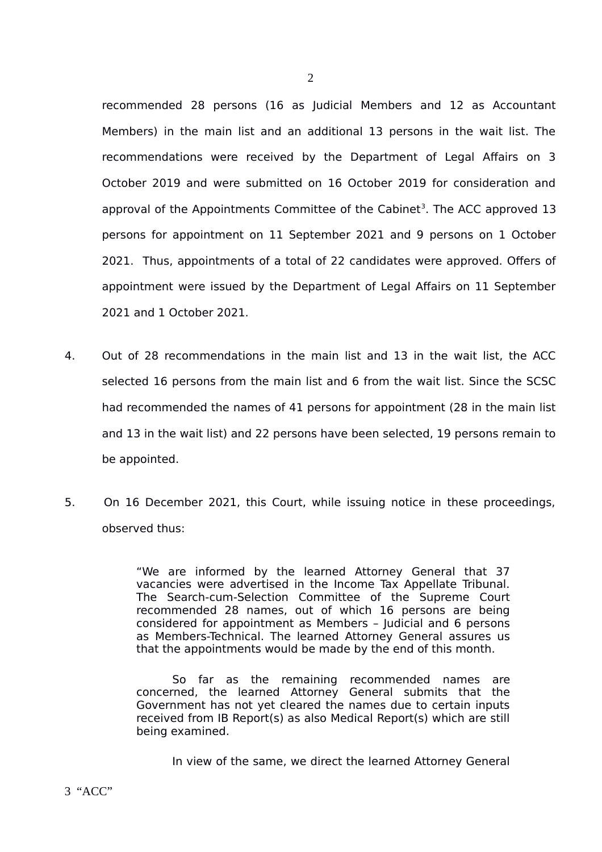recommended 28 persons (16 as Judicial Members and 12 as Accountant Members) in the main list and an additional 13 persons in the wait list. The recommendations were received by the Department of Legal Affairs on 3 October 2019 and were submitted on 16 October 2019 for consideration and approval of the Appointments Committee of the Cabinet<sup>[3](#page-1-0)</sup>. The ACC approved 13 persons for appointment on 11 September 2021 and 9 persons on 1 October 2021. Thus, appointments of a total of 22 candidates were approved. Offers of appointment were issued by the Department of Legal Affairs on 11 September 2021 and 1 October 2021.

- 4. Out of 28 recommendations in the main list and 13 in the wait list, the ACC selected 16 persons from the main list and 6 from the wait list. Since the SCSC had recommended the names of 41 persons for appointment (28 in the main list and 13 in the wait list) and 22 persons have been selected, 19 persons remain to be appointed.
- 5. On 16 December 2021, this Court, while issuing notice in these proceedings, observed thus:

"We are informed by the learned Attorney General that 37 vacancies were advertised in the Income Tax Appellate Tribunal. The Search-cum-Selection Committee of the Supreme Court recommended 28 names, out of which 16 persons are being considered for appointment as Members – Judicial and 6 persons as Members-Technical. The learned Attorney General assures us that the appointments would be made by the end of this month.

So far as the remaining recommended names are concerned, the learned Attorney General submits that the Government has not yet cleared the names due to certain inputs received from IB Report(s) as also Medical Report(s) which are still being examined.

<span id="page-1-0"></span>In view of the same, we direct the learned Attorney General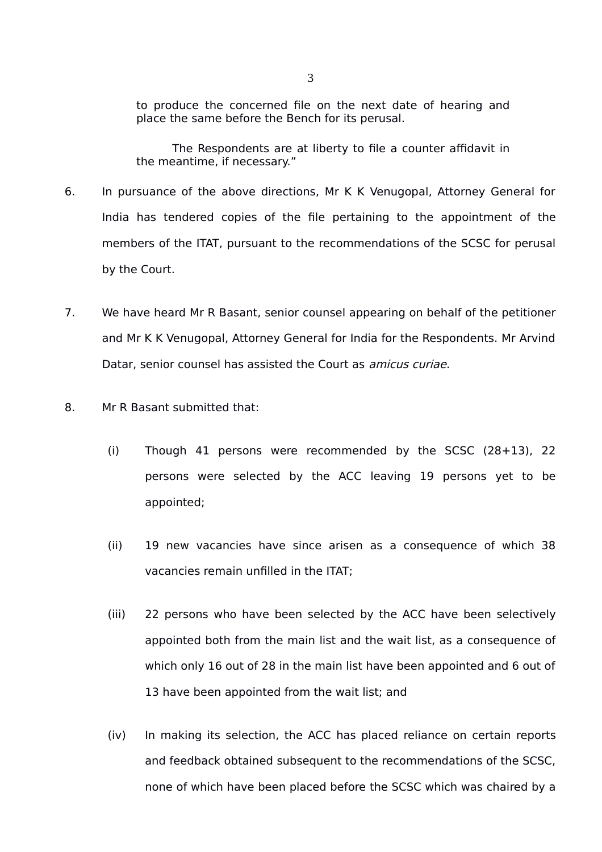to produce the concerned file on the next date of hearing and place the same before the Bench for its perusal.

The Respondents are at liberty to file a counter affidavit in the meantime, if necessary."

- 6. In pursuance of the above directions, Mr K K Venugopal, Attorney General for India has tendered copies of the file pertaining to the appointment of the members of the ITAT, pursuant to the recommendations of the SCSC for perusal by the Court.
- 7. We have heard Mr R Basant, senior counsel appearing on behalf of the petitioner and Mr K K Venugopal, Attorney General for India for the Respondents. Mr Arvind Datar, senior counsel has assisted the Court as *amicus curiae*.
- 8. Mr R Basant submitted that:
	- (i) Though 41 persons were recommended by the SCSC (28+13), 22 persons were selected by the ACC leaving 19 persons yet to be appointed;
	- (ii) 19 new vacancies have since arisen as a consequence of which 38 vacancies remain unfilled in the ITAT;
	- (iii) 22 persons who have been selected by the ACC have been selectively appointed both from the main list and the wait list, as a consequence of which only 16 out of 28 in the main list have been appointed and 6 out of 13 have been appointed from the wait list; and
	- (iv) In making its selection, the ACC has placed reliance on certain reports and feedback obtained subsequent to the recommendations of the SCSC, none of which have been placed before the SCSC which was chaired by a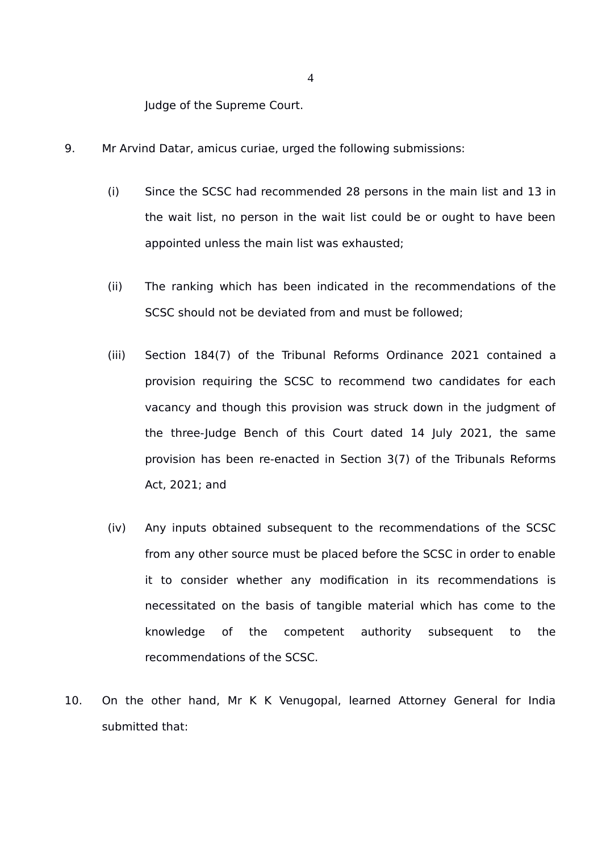Judge of the Supreme Court.

- 9. Mr Arvind Datar, amicus curiae, urged the following submissions:
	- (i) Since the SCSC had recommended 28 persons in the main list and 13 in the wait list, no person in the wait list could be or ought to have been appointed unless the main list was exhausted;
	- (ii) The ranking which has been indicated in the recommendations of the SCSC should not be deviated from and must be followed;
	- (iii) Section 184(7) of the Tribunal Reforms Ordinance 2021 contained a provision requiring the SCSC to recommend two candidates for each vacancy and though this provision was struck down in the judgment of the three-Judge Bench of this Court dated 14 July 2021, the same provision has been re-enacted in Section 3(7) of the Tribunals Reforms Act, 2021; and
	- (iv) Any inputs obtained subsequent to the recommendations of the SCSC from any other source must be placed before the SCSC in order to enable it to consider whether any modification in its recommendations is necessitated on the basis of tangible material which has come to the knowledge of the competent authority subsequent to the recommendations of the SCSC.
- 10. On the other hand, Mr K K Venugopal, learned Attorney General for India submitted that: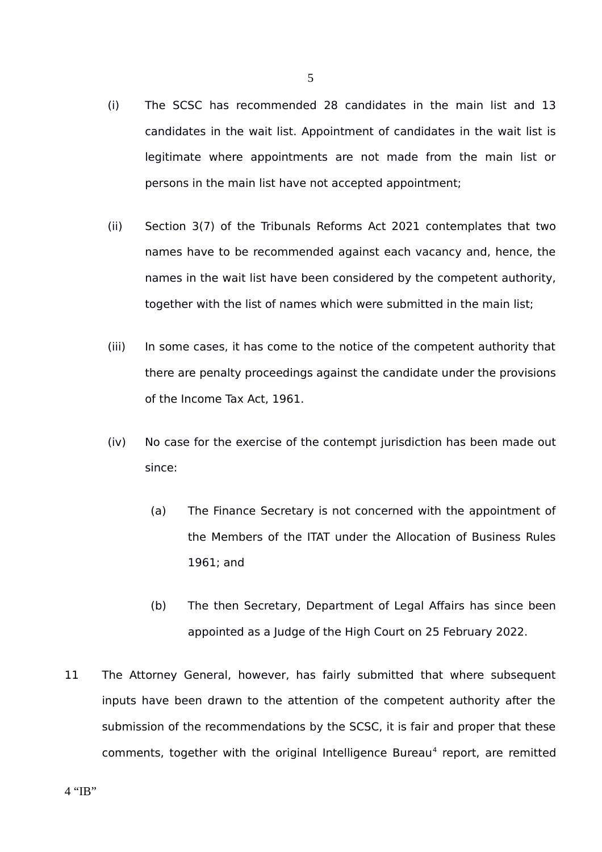- (i) The SCSC has recommended 28 candidates in the main list and 13 candidates in the wait list. Appointment of candidates in the wait list is legitimate where appointments are not made from the main list or persons in the main list have not accepted appointment;
- (ii) Section 3(7) of the Tribunals Reforms Act 2021 contemplates that two names have to be recommended against each vacancy and, hence, the names in the wait list have been considered by the competent authority, together with the list of names which were submitted in the main list;
- (iii) In some cases, it has come to the notice of the competent authority that there are penalty proceedings against the candidate under the provisions of the Income Tax Act, 1961.
- (iv) No case for the exercise of the contempt jurisdiction has been made out since:
	- (a) The Finance Secretary is not concerned with the appointment of the Members of the ITAT under the Allocation of Business Rules 1961; and
	- (b) The then Secretary, Department of Legal Affairs has since been appointed as a Judge of the High Court on 25 February 2022.
- <span id="page-4-0"></span>11 The Attorney General, however, has fairly submitted that where subsequent inputs have been drawn to the attention of the competent authority after the submission of the recommendations by the SCSC, it is fair and proper that these comments, together with the original Intelligence Bureau<sup>[4](#page-4-0)</sup> report, are remitted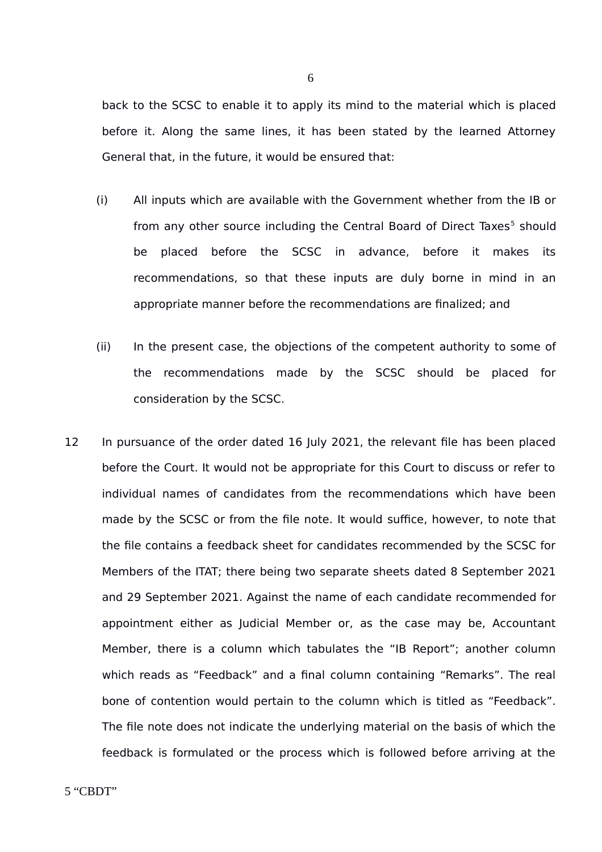back to the SCSC to enable it to apply its mind to the material which is placed before it. Along the same lines, it has been stated by the learned Attorney General that, in the future, it would be ensured that:

- (i) All inputs which are available with the Government whether from the IB or from any other source including the Central Board of Direct Taxes<sup>[5](#page-5-0)</sup> should be placed before the SCSC in advance, before it makes its recommendations, so that these inputs are duly borne in mind in an appropriate manner before the recommendations are finalized; and
- (ii) In the present case, the objections of the competent authority to some of the recommendations made by the SCSC should be placed for consideration by the SCSC.
- <span id="page-5-0"></span>12 In pursuance of the order dated 16 July 2021, the relevant file has been placed before the Court. It would not be appropriate for this Court to discuss or refer to individual names of candidates from the recommendations which have been made by the SCSC or from the file note. It would suffice, however, to note that the file contains a feedback sheet for candidates recommended by the SCSC for Members of the ITAT; there being two separate sheets dated 8 September 2021 and 29 September 2021. Against the name of each candidate recommended for appointment either as Judicial Member or, as the case may be, Accountant Member, there is a column which tabulates the "IB Report"; another column which reads as "Feedback" and a final column containing "Remarks". The real bone of contention would pertain to the column which is titled as "Feedback". The file note does not indicate the underlying material on the basis of which the feedback is formulated or the process which is followed before arriving at the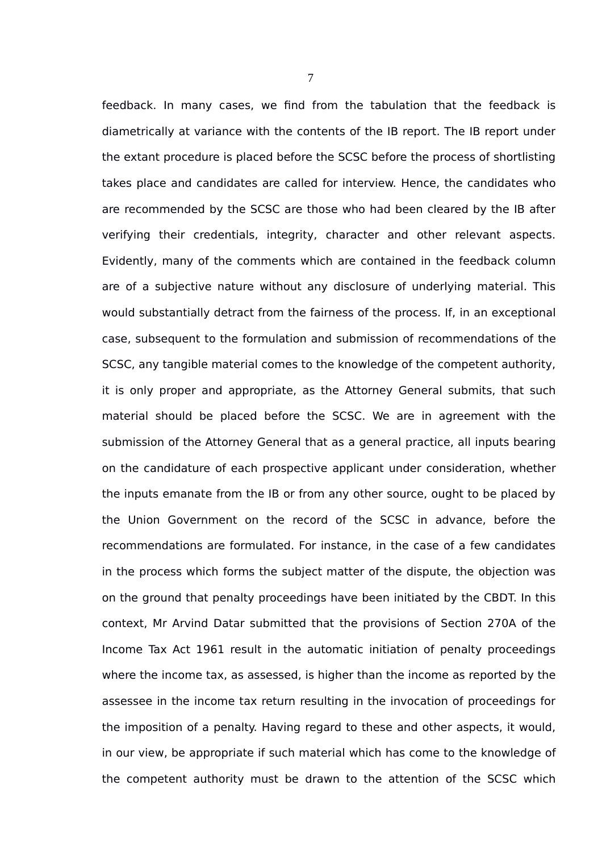feedback. In many cases, we find from the tabulation that the feedback is diametrically at variance with the contents of the IB report. The IB report under the extant procedure is placed before the SCSC before the process of shortlisting takes place and candidates are called for interview. Hence, the candidates who are recommended by the SCSC are those who had been cleared by the IB after verifying their credentials, integrity, character and other relevant aspects. Evidently, many of the comments which are contained in the feedback column are of a subjective nature without any disclosure of underlying material. This would substantially detract from the fairness of the process. If, in an exceptional case, subsequent to the formulation and submission of recommendations of the SCSC, any tangible material comes to the knowledge of the competent authority, it is only proper and appropriate, as the Attorney General submits, that such material should be placed before the SCSC. We are in agreement with the submission of the Attorney General that as a general practice, all inputs bearing on the candidature of each prospective applicant under consideration, whether the inputs emanate from the IB or from any other source, ought to be placed by the Union Government on the record of the SCSC in advance, before the recommendations are formulated. For instance, in the case of a few candidates in the process which forms the subject matter of the dispute, the objection was on the ground that penalty proceedings have been initiated by the CBDT. In this context, Mr Arvind Datar submitted that the provisions of Section 270A of the Income Tax Act 1961 result in the automatic initiation of penalty proceedings where the income tax, as assessed, is higher than the income as reported by the assessee in the income tax return resulting in the invocation of proceedings for the imposition of a penalty. Having regard to these and other aspects, it would, in our view, be appropriate if such material which has come to the knowledge of the competent authority must be drawn to the attention of the SCSC which

7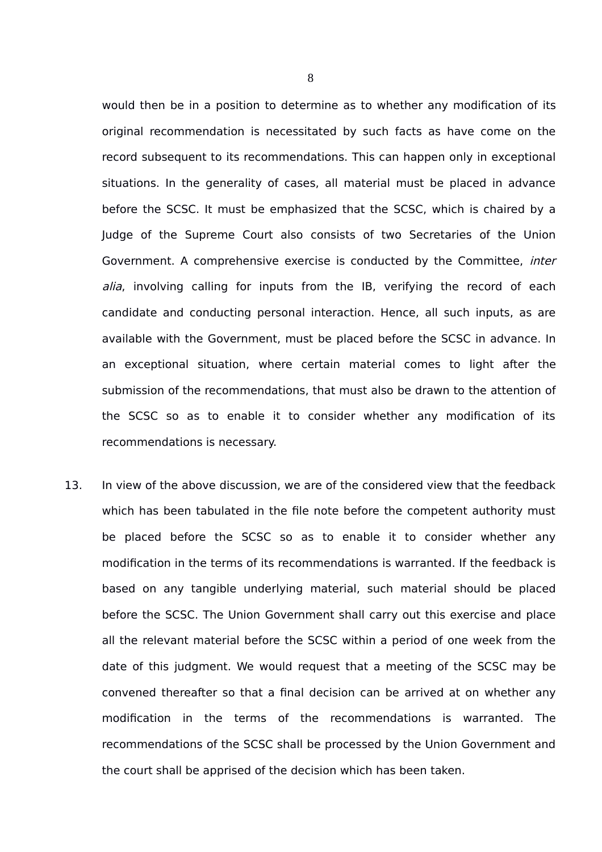would then be in a position to determine as to whether any modification of its original recommendation is necessitated by such facts as have come on the record subsequent to its recommendations. This can happen only in exceptional situations. In the generality of cases, all material must be placed in advance before the SCSC. It must be emphasized that the SCSC, which is chaired by a Judge of the Supreme Court also consists of two Secretaries of the Union Government. A comprehensive exercise is conducted by the Committee, inter alia, involving calling for inputs from the IB, verifying the record of each candidate and conducting personal interaction. Hence, all such inputs, as are available with the Government, must be placed before the SCSC in advance. In an exceptional situation, where certain material comes to light after the submission of the recommendations, that must also be drawn to the attention of the SCSC so as to enable it to consider whether any modification of its recommendations is necessary.

13. In view of the above discussion, we are of the considered view that the feedback which has been tabulated in the file note before the competent authority must be placed before the SCSC so as to enable it to consider whether any modification in the terms of its recommendations is warranted. If the feedback is based on any tangible underlying material, such material should be placed before the SCSC. The Union Government shall carry out this exercise and place all the relevant material before the SCSC within a period of one week from the date of this judgment. We would request that a meeting of the SCSC may be convened thereafter so that a final decision can be arrived at on whether any modification in the terms of the recommendations is warranted. The recommendations of the SCSC shall be processed by the Union Government and the court shall be apprised of the decision which has been taken.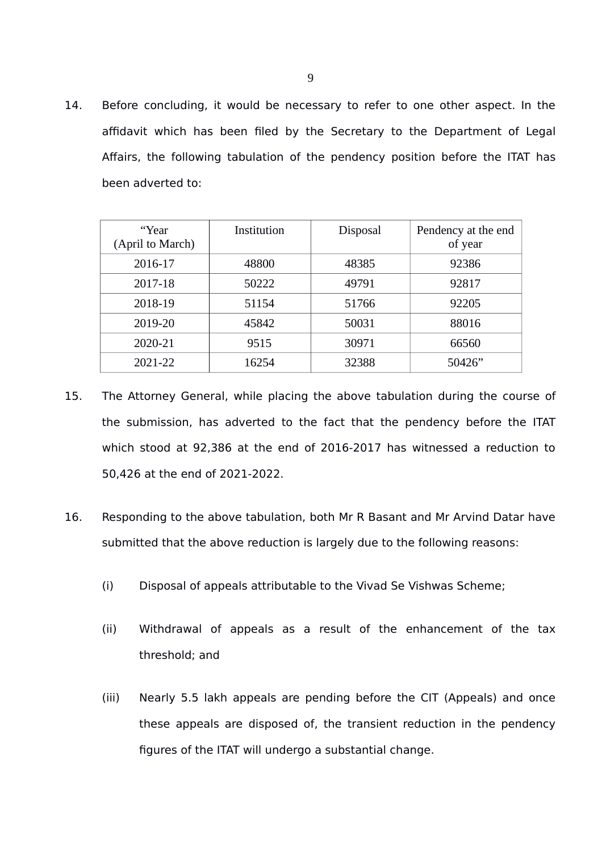14. Before concluding, it would be necessary to refer to one other aspect. In the affidavit which has been filed by the Secretary to the Department of Legal Affairs, the following tabulation of the pendency position before the ITAT has been adverted to:

| "Year<br>(April to March) | Institution | <b>Disposal</b> | Pendency at the end<br>of year |
|---------------------------|-------------|-----------------|--------------------------------|
| 2016-17                   | 48800       | 48385           | 92386                          |
| 2017-18                   | 50222       | 49791           | 92817                          |
| 2018-19                   | 51154       | 51766           | 92205                          |
| 2019-20                   | 45842       | 50031           | 88016                          |
| 2020-21                   | 9515        | 30971           | 66560                          |
| 2021-22                   | 16254       | 32388           | 50426"                         |

- 15. The Attorney General, while placing the above tabulation during the course of the submission, has adverted to the fact that the pendency before the ITAT which stood at 92,386 at the end of 2016-2017 has witnessed a reduction to 50,426 at the end of 2021-2022.
- 16. Responding to the above tabulation, both Mr R Basant and Mr Arvind Datar have submitted that the above reduction is largely due to the following reasons:
	- (i) Disposal of appeals attributable to the Vivad Se Vishwas Scheme;
	- (ii) Withdrawal of appeals as a result of the enhancement of the tax threshold; and
	- (iii) Nearly 5.5 lakh appeals are pending before the CIT (Appeals) and once these appeals are disposed of, the transient reduction in the pendency figures of the ITAT will undergo a substantial change.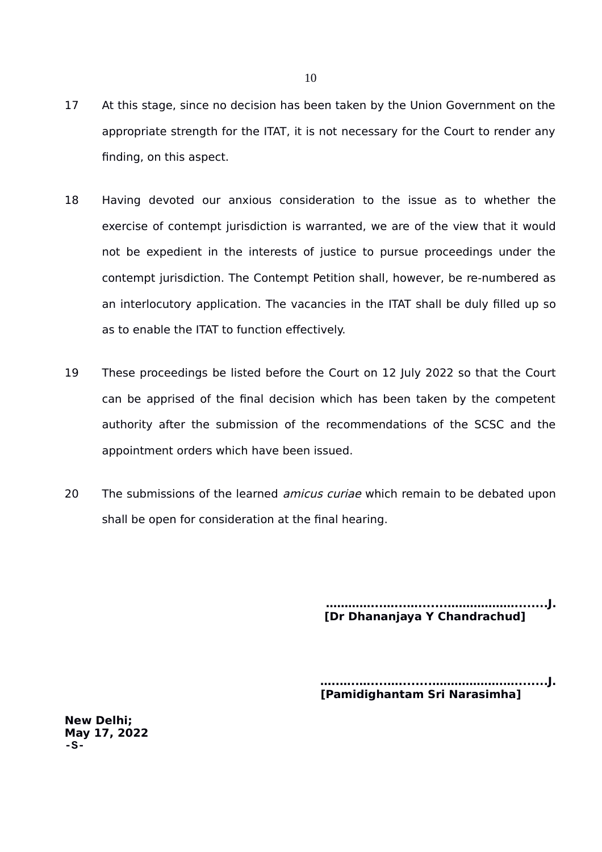- 17 At this stage, since no decision has been taken by the Union Government on the appropriate strength for the ITAT, it is not necessary for the Court to render any finding, on this aspect.
- 18 Having devoted our anxious consideration to the issue as to whether the exercise of contempt jurisdiction is warranted, we are of the view that it would not be expedient in the interests of justice to pursue proceedings under the contempt jurisdiction. The Contempt Petition shall, however, be re-numbered as an interlocutory application. The vacancies in the ITAT shall be duly filled up so as to enable the ITAT to function effectively.
- 19 These proceedings be listed before the Court on 12 July 2022 so that the Court can be apprised of the final decision which has been taken by the competent authority after the submission of the recommendations of the SCSC and the appointment orders which have been issued.
- 20 The submissions of the learned *amicus curiae* which remain to be debated upon shall be open for consideration at the final hearing.

 **…………...…...….......………………........J. [Dr Dhananjaya Y Chandrachud]**

**…..…..…....…........……………….…........J. [Pamidighantam Sri Narasimha]**

**New Delhi; May 17, 2022 -S-**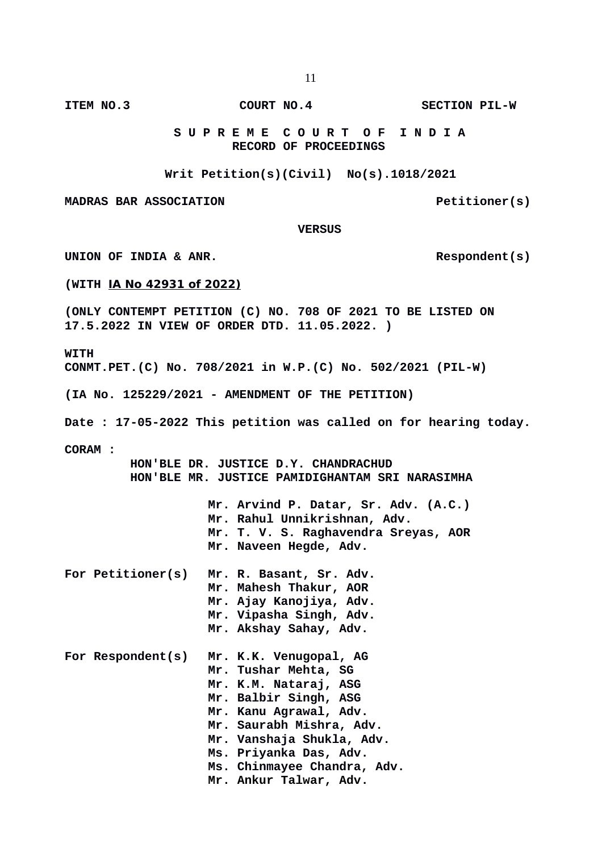**ITEM NO.3 COURT NO.4 SECTION PIL-W**

 **S U P R E M E C O U R T O F I N D I A RECORD OF PROCEEDINGS**

**Writ Petition(s)(Civil) No(s).1018/2021**

**MADRAS BAR ASSOCIATION Example 20 Petitioner(s)** 

 **VERSUS**

UNION OF INDIA & ANR.

**(WITH IA No 42931 of 2022)**

**(ONLY CONTEMPT PETITION (C) NO. 708 OF 2021 TO BE LISTED ON 17.5.2022 IN VIEW OF ORDER DTD. 11.05.2022. )**

**WITH CONMT.PET.(C) No. 708/2021 in W.P.(C) No. 502/2021 (PIL-W)**

**(IA No. 125229/2021 - AMENDMENT OF THE PETITION)**

**Date : 17-05-2022 This petition was called on for hearing today.**

**CORAM :** 

 **HON'BLE DR. JUSTICE D.Y. CHANDRACHUD HON'BLE MR. JUSTICE PAMIDIGHANTAM SRI NARASIMHA**

> **Mr. Arvind P. Datar, Sr. Adv. (A.C.) Mr. Rahul Unnikrishnan, Adv. Mr. T. V. S. Raghavendra Sreyas, AOR Mr. Naveen Hegde, Adv.**

| For Petitioner(s) | Mr. R. Basant, Sr. Adv. |
|-------------------|-------------------------|
|                   | Mr. Mahesh Thakur, AOR  |
|                   | Mr. Ajay Kanojiya, Adv. |
|                   | Mr. Vipasha Singh, Adv. |
|                   | Mr. Akshay Sahay, Adv.  |
|                   |                         |

|  |  | For Respondent(s) Mr. K.K. Venugopal, AG |
|--|--|------------------------------------------|
|  |  | Mr. Tushar Mehta, SG                     |
|  |  | Mr. K.M. Nataraj, ASG                    |
|  |  | Mr. Balbir Singh, ASG                    |
|  |  | Mr. Kanu Agrawal, Adv.                   |
|  |  | Mr. Saurabh Mishra, Adv.                 |
|  |  | Mr. Vanshaja Shukla, Adv.                |
|  |  | Ms. Priyanka Das, Adv.                   |
|  |  | Ms. Chinmayee Chandra, Adv.              |
|  |  | Mr. Ankur Talwar, Adv.                   |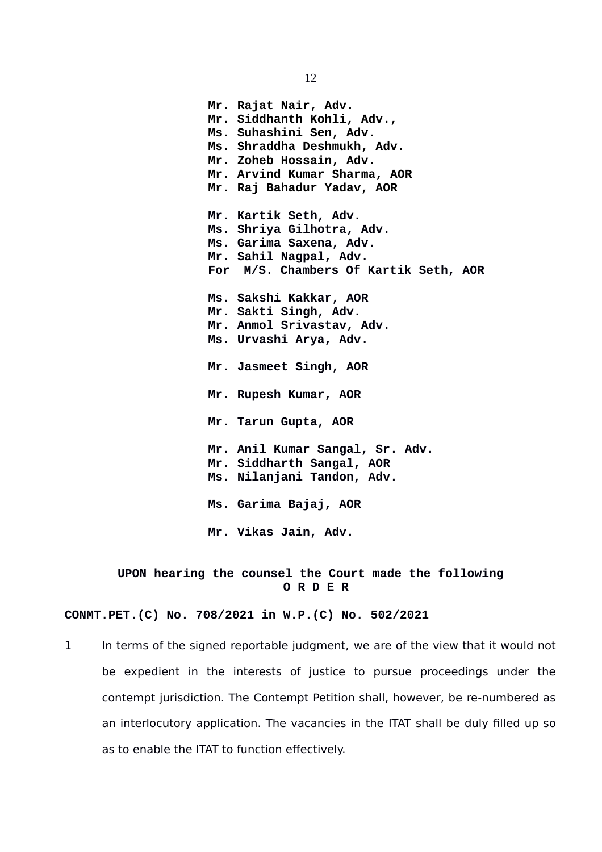**Mr. Rajat Nair, Adv. Mr. Siddhanth Kohli, Adv., Ms. Suhashini Sen, Adv. Ms. Shraddha Deshmukh, Adv. Mr. Zoheb Hossain, Adv. Mr. Arvind Kumar Sharma, AOR Mr. Raj Bahadur Yadav, AOR Mr. Kartik Seth, Adv. Ms. Shriya Gilhotra, Adv. Ms. Garima Saxena, Adv. Mr. Sahil Nagpal, Adv. For M/S. Chambers Of Kartik Seth, AOR Ms. Sakshi Kakkar, AOR Mr. Sakti Singh, Adv. Mr. Anmol Srivastav, Adv. Ms. Urvashi Arya, Adv. Mr. Jasmeet Singh, AOR Mr. Rupesh Kumar, AOR Mr. Tarun Gupta, AOR Mr. Anil Kumar Sangal, Sr. Adv. Mr. Siddharth Sangal, AOR Ms. Nilanjani Tandon, Adv. Ms. Garima Bajaj, AOR Mr. Vikas Jain, Adv.**

#### **UPON hearing the counsel the Court made the following O R D E R**

#### **CONMT.PET.(C) No. 708/2021 in W.P.(C) No. 502/2021**

1 In terms of the signed reportable judgment, we are of the view that it would not be expedient in the interests of justice to pursue proceedings under the contempt jurisdiction. The Contempt Petition shall, however, be re-numbered as an interlocutory application. The vacancies in the ITAT shall be duly filled up so as to enable the ITAT to function effectively.

12